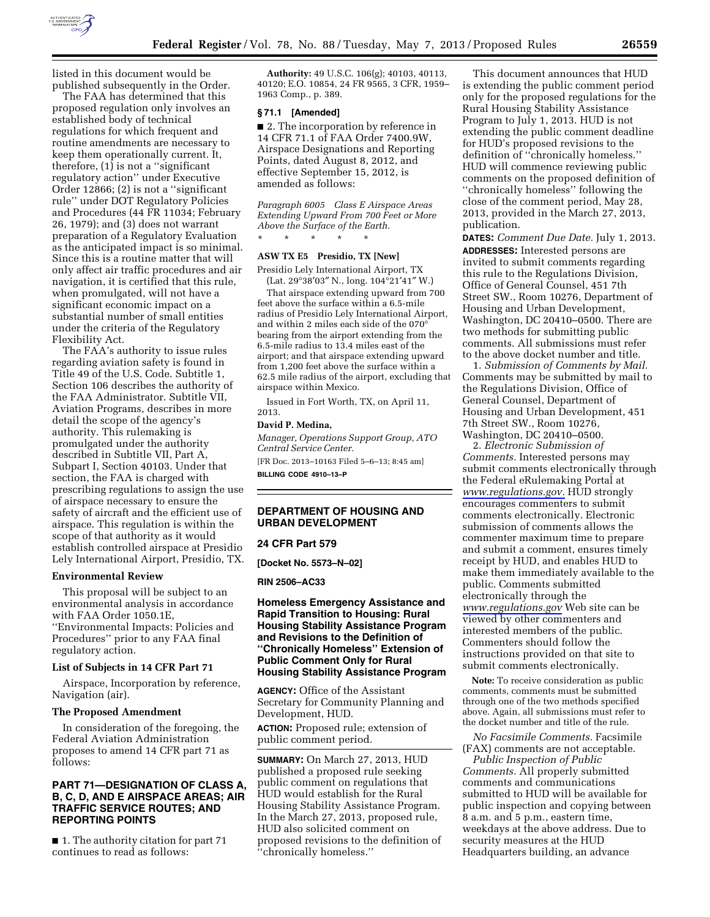

listed in this document would be published subsequently in the Order.

The FAA has determined that this proposed regulation only involves an established body of technical regulations for which frequent and routine amendments are necessary to keep them operationally current. It, therefore, (1) is not a ''significant regulatory action'' under Executive Order 12866; (2) is not a ''significant rule'' under DOT Regulatory Policies and Procedures (44 FR 11034; February 26, 1979); and (3) does not warrant preparation of a Regulatory Evaluation as the anticipated impact is so minimal. Since this is a routine matter that will only affect air traffic procedures and air navigation, it is certified that this rule, when promulgated, will not have a significant economic impact on a substantial number of small entities under the criteria of the Regulatory Flexibility Act.

The FAA's authority to issue rules regarding aviation safety is found in Title 49 of the U.S. Code. Subtitle 1, Section 106 describes the authority of the FAA Administrator. Subtitle VII, Aviation Programs, describes in more detail the scope of the agency's authority. This rulemaking is promulgated under the authority described in Subtitle VII, Part A, Subpart I, Section 40103. Under that section, the FAA is charged with prescribing regulations to assign the use of airspace necessary to ensure the safety of aircraft and the efficient use of airspace. This regulation is within the scope of that authority as it would establish controlled airspace at Presidio Lely International Airport, Presidio, TX.

#### **Environmental Review**

This proposal will be subject to an environmental analysis in accordance with FAA Order 1050.1E, ''Environmental Impacts: Policies and Procedures'' prior to any FAA final regulatory action.

#### **List of Subjects in 14 CFR Part 71**

Airspace, Incorporation by reference, Navigation (air).

#### **The Proposed Amendment**

In consideration of the foregoing, the Federal Aviation Administration proposes to amend 14 CFR part 71 as follows:

### **PART 71—DESIGNATION OF CLASS A, B, C, D, AND E AIRSPACE AREAS; AIR TRAFFIC SERVICE ROUTES; AND REPORTING POINTS**

■ 1. The authority citation for part 71 continues to read as follows:

**Authority:** 49 U.S.C. 106(g); 40103, 40113, 40120; E.O. 10854, 24 FR 9565, 3 CFR, 1959– 1963 Comp., p. 389.

#### **§ 71.1 [Amended]**

■ 2. The incorporation by reference in 14 CFR 71.1 of FAA Order 7400.9W, Airspace Designations and Reporting Points, dated August 8, 2012, and effective September 15, 2012, is amended as follows:

*Paragraph 6005 Class E Airspace Areas Extending Upward From 700 Feet or More Above the Surface of the Earth.* 

\* \* \* \* \*

## **ASW TX E5 Presidio, TX [New]**

Presidio Lely International Airport, TX (Lat. 29°38′03″ N., long. 104°21′41″ W.)

That airspace extending upward from 700 feet above the surface within a 6.5-mile radius of Presidio Lely International Airport, and within 2 miles each side of the 070° bearing from the airport extending from the 6.5-mile radius to 13.4 miles east of the airport; and that airspace extending upward from 1,200 feet above the surface within a 62.5 mile radius of the airport, excluding that airspace within Mexico.

Issued in Fort Worth, TX, on April 11, 2013.

# **David P. Medina,**

*Manager, Operations Support Group, ATO Central Service Center.* 

[FR Doc. 2013–10163 Filed 5–6–13; 8:45 am] **BILLING CODE 4910–13–P** 

## **DEPARTMENT OF HOUSING AND URBAN DEVELOPMENT**

### **24 CFR Part 579**

**[Docket No. 5573–N–02]** 

**RIN 2506–AC33** 

## **Homeless Emergency Assistance and Rapid Transition to Housing: Rural Housing Stability Assistance Program and Revisions to the Definition of ''Chronically Homeless'' Extension of Public Comment Only for Rural Housing Stability Assistance Program**

**AGENCY:** Office of the Assistant Secretary for Community Planning and Development, HUD.

**ACTION:** Proposed rule; extension of public comment period.

**SUMMARY:** On March 27, 2013, HUD published a proposed rule seeking public comment on regulations that HUD would establish for the Rural Housing Stability Assistance Program. In the March 27, 2013, proposed rule, HUD also solicited comment on proposed revisions to the definition of ''chronically homeless.''

This document announces that HUD is extending the public comment period only for the proposed regulations for the Rural Housing Stability Assistance Program to July 1, 2013. HUD is not extending the public comment deadline for HUD's proposed revisions to the definition of ''chronically homeless.'' HUD will commence reviewing public comments on the proposed definition of ''chronically homeless'' following the close of the comment period, May 28, 2013, provided in the March 27, 2013, publication.

**DATES:** *Comment Due Date.* July 1, 2013. **ADDRESSES:** Interested persons are invited to submit comments regarding this rule to the Regulations Division, Office of General Counsel, 451 7th Street SW., Room 10276, Department of Housing and Urban Development, Washington, DC 20410–0500. There are two methods for submitting public comments. All submissions must refer to the above docket number and title.

1. *Submission of Comments by Mail.*  Comments may be submitted by mail to the Regulations Division, Office of General Counsel, Department of Housing and Urban Development, 451 7th Street SW., Room 10276, Washington, DC 20410–0500.

2. *Electronic Submission of Comments.* Interested persons may submit comments electronically through the Federal eRulemaking Portal at *[www.regulations.gov.](http://www.regulations.gov)* HUD strongly encourages commenters to submit comments electronically. Electronic submission of comments allows the commenter maximum time to prepare and submit a comment, ensures timely receipt by HUD, and enables HUD to make them immediately available to the public. Comments submitted electronically through the *[www.regulations.gov](http://www.regulations.gov)* Web site can be viewed by other commenters and interested members of the public. Commenters should follow the instructions provided on that site to submit comments electronically.

**Note:** To receive consideration as public comments, comments must be submitted through one of the two methods specified above. Again, all submissions must refer to the docket number and title of the rule.

*No Facsimile Comments.* Facsimile (FAX) comments are not acceptable.

*Public Inspection of Public Comments.* All properly submitted comments and communications submitted to HUD will be available for public inspection and copying between 8 a.m. and 5 p.m., eastern time, weekdays at the above address. Due to security measures at the HUD Headquarters building, an advance